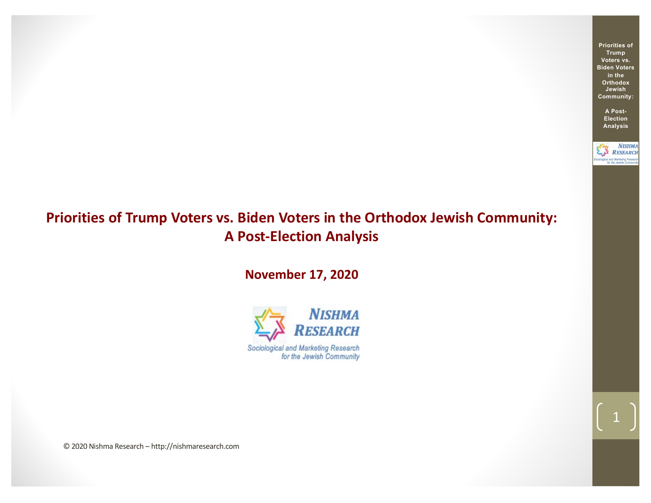**Priorities of Trump Voters vs. Biden Voters in the Orthodox Jewish Community:**

> **A Post-Election Analysis**

**NISHMA** RESEARCH logical and Marketing Rese

1

# **Priorities of Trump Voters vs. Biden Voters in the Orthodox Jewish Community: A Post-Election Analysis**

**November 17, 2020**



© 2020 Nishma Research – http://nishmaresearch.com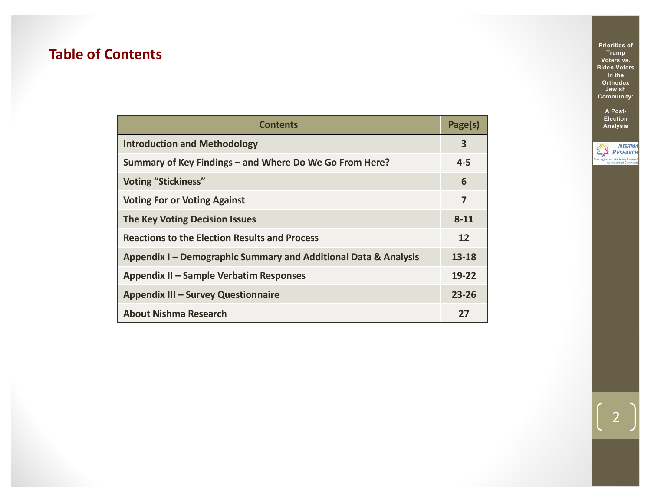# **Table of Contents**

| <b>Contents</b>                                                 | Page(s)   |
|-----------------------------------------------------------------|-----------|
| <b>Introduction and Methodology</b>                             | 3         |
| Summary of Key Findings - and Where Do We Go From Here?         | $4 - 5$   |
| <b>Voting "Stickiness"</b>                                      | 6         |
| <b>Voting For or Voting Against</b>                             | 7         |
| <b>The Key Voting Decision Issues</b>                           | $8 - 11$  |
| <b>Reactions to the Election Results and Process</b>            | 12        |
| Appendix I - Demographic Summary and Additional Data & Analysis | 13-18     |
| Appendix II – Sample Verbatim Responses                         | 19-22     |
| Appendix III - Survey Questionnaire                             | $23 - 26$ |
| <b>About Nishma Research</b>                                    | 27        |

**Priorities of Trump Voters vs. Biden Voters in the Orthodox Jewish Community:**

> **A Post-Election Analysis**

**NISHMA**<br>RESEARCH Sociological and Marketing Researc<br>for the Jewish Communi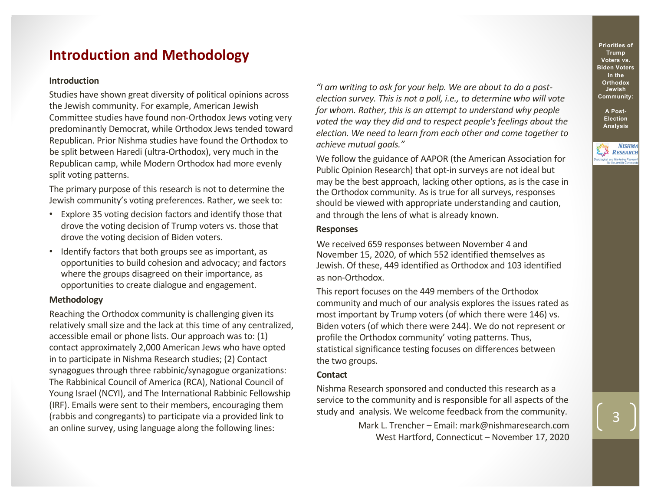## **Introduction and Methodology**

### **Introduction**

Studies have shown great diversity of political opinions across the Jewish community. For example, American Jewish Committee studies have found non-Orthodox Jews voting very predominantly Democrat, while Orthodox Jews tended toward Republican. Prior Nishma studies have found the Orthodox to be split between Haredi (ultra-Orthodox), very much in the Republican camp, while Modern Orthodox had more evenly split voting patterns.

The primary purpose of this research is not to determine the Jewish community's voting preferences. Rather, we seek to:

- Explore 35 voting decision factors and identify those that drove the voting decision of Trump voters vs. those that drove the voting decision of Biden voters.
- Identify factors that both groups see as important, as opportunities to build cohesion and advocacy; and factors where the groups disagreed on their importance, as opportunities to create dialogue and engagement.

### **Methodology**

Reaching the Orthodox community is challenging given its relatively small size and the lack at this time of any centralized, accessible email or phone lists. Our approach was to: (1) contact approximately 2,000 American Jews who have opted in to participate in Nishma Research studies; (2) Contact synagogues through three rabbinic/synagogue organizations: The Rabbinical Council of America (RCA), National Council of Young Israel (NCYI), and The International Rabbinic Fellowship (IRF). Emails were sent to their members, encouraging them (rabbis and congregants) to participate via a provided link to an online survey, using language along the following lines:

*"I am writing to ask for your help. We are about to do a postelection survey. This is not a poll, i.e., to determine who will vote for whom. Rather, this is an attempt to understand why people voted the way they did and to respect people's feelings about the election. We need to learn from each other and come together to achieve mutual goals."*

We follow the guidance of AAPOR (the American Association for Public Opinion Research) that opt-in surveys are not ideal but may be the best approach, lacking other options, as is the case in the Orthodox community. As is true for all surveys, responses should be viewed with appropriate understanding and caution, and through the lens of what is already known.

### **Responses**

We received 659 responses between November 4 and November 15, 2020, of which 552 identified themselves as Jewish. Of these, 449 identified as Orthodox and 103 identified as non-Orthodox.

This report focuses on the 449 members of the Orthodox community and much of our analysis explores the issues rated as most important by Trump voters (of which there were 146) vs. Biden voters (of which there were 244). We do not represent or profile the Orthodox community' voting patterns. Thus, statistical significance testing focuses on differences between the two groups.

#### **Contact**

Nishma Research sponsored and conducted this research as a service to the community and is responsible for all aspects of the study and analysis. We welcome feedback from the community.

> Mark L. Trencher – Email: mark@nishmaresearch.com West Hartford, Connecticut – November 17, 2020

**Priorities of Trump Voters vs. Biden Voters in the Orthodox Jewish Community:**

> **A Post-Election Analysis**

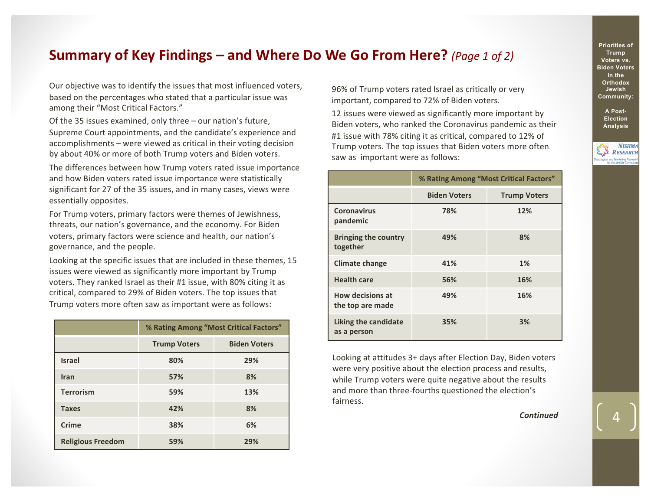### **Summary of Key Findings – and Where Do We Go From Here?** *(Page 1 of 2)*

Our objective was to identify the issues that most influenced voters, based on the percentages who stated that a particular issue was among their "Most Critical Factors."

Of the 35 issues examined, only three – our nation's future, Supreme Court appointments, and the candidate's experience and accomplishments – were viewed as critical in their voting decision by about 40% or more of both Trump voters and Biden voters.

The differences between how Trump voters rated issue importance and how Biden voters rated issue importance were statistically significant for 27 of the 35 issues, and in many cases, views were essentially opposites.

For Trump voters, primary factors were themes of Jewishness, threats, our nation's governance, and the economy. For Biden voters, primary factors were science and health, our nation's governance, and the people.

Looking at the specific issues that are included in these themes, 15 issues were viewed as significantly more important by Trump voters. They ranked Israel as their #1 issue, with 80% citing it as critical, compared to 29% of Biden voters. The top issues that Trump voters more often saw as important were as follows:

|                          | % Rating Among "Most Critical Factors" |                     |  |
|--------------------------|----------------------------------------|---------------------|--|
|                          | <b>Trump Voters</b>                    | <b>Biden Voters</b> |  |
| <b>Israel</b>            | 80%                                    | 29%                 |  |
| Iran                     | 57%                                    | 8%                  |  |
| <b>Terrorism</b>         | 59%                                    | 13%                 |  |
| <b>Taxes</b>             | 42%                                    | 8%                  |  |
| Crime                    | 38%                                    | 6%                  |  |
| <b>Religious Freedom</b> | 59%                                    | 29%                 |  |

96% of Trump voters rated Israel as critically or very important, compared to 72% of Biden voters.

12 issues were viewed as significantly more important by Biden voters, who ranked the Coronavirus pandemic as their #1 issue with 78% citing it as critical, compared to 12% of Trump voters. The top issues that Biden voters more often saw as important were as follows:

|                                             | % Rating Among "Most Critical Factors" |                     |  |
|---------------------------------------------|----------------------------------------|---------------------|--|
|                                             | <b>Biden Voters</b>                    | <b>Trump Voters</b> |  |
| <b>Coronavirus</b><br>pandemic              | 78%                                    | 12%                 |  |
| <b>Bringing the country</b><br>together     | 49%                                    | 8%                  |  |
| <b>Climate change</b>                       | 41%                                    | 1%                  |  |
| <b>Health care</b>                          | 56%                                    | 16%                 |  |
| <b>How decisions at</b><br>the top are made | 49%                                    | 16%                 |  |
| Liking the candidate<br>as a person         | 35%                                    | 3%                  |  |

Looking at attitudes 3+ days after Election Day, Biden voters were very positive about the election process and results, while Trump voters were quite negative about the results and more than three-fourths questioned the election's fairness.

*Continued*

**Priorities of Trump Voters vs. Biden Voters in the Orthodox Jewish Community:**

**A Post-Election Analysis**

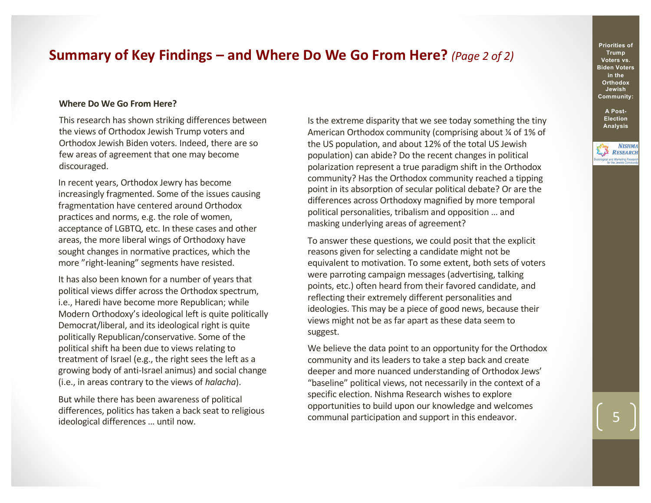### **Summary of Key Findings – and Where Do We Go From Here?** *(Page 2 of 2)*

### **Where Do We Go From Here?**

This research has shown striking differences between the views of Orthodox Jewish Trump voters and Orthodox Jewish Biden voters. Indeed, there are so few areas of agreement that one may become discouraged.

In recent years, Orthodox Jewry has become increasingly fragmented. Some of the issues causing fragmentation have centered around Orthodox practices and norms, e.g. the role of women, acceptance of LGBTQ, etc. In these cases and other areas, the more liberal wings of Orthodoxy have sought changes in normative practices, which the more "right-leaning" segments have resisted.

It has also been known for a number of years that political views differ across the Orthodox spectrum, i.e., Haredi have become more Republican; while Modern Orthodoxy's ideological left is quite politically Democrat/liberal, and its ideological right is quite politically Republican/conservative. Some of the political shift ha been due to views relating to treatment of Israel (e.g., the right sees the left as a growing body of anti-Israel animus) and social change (i.e., in areas contrary to the views of *halacha*).

But while there has been awareness of political differences, politics has taken a back seat to religious ideological differences … until now.

Is the extreme disparity that we see today something the tiny American Orthodox community (comprising about ¼ of 1% of the US population, and about 12% of the total US Jewish population) can abide? Do the recent changes in political polarization represent a true paradigm shift in the Orthodox community? Has the Orthodox community reached a tipping point in its absorption of secular political debate? Or are the differences across Orthodoxy magnified by more temporal political personalities, tribalism and opposition … and masking underlying areas of agreement?

To answer these questions, we could posit that the explicit reasons given for selecting a candidate might not be equivalent to motivation. To some extent, both sets of voters were parroting campaign messages (advertising, talking points, etc.) often heard from their favored candidate, and reflecting their extremely different personalities and ideologies. This may be a piece of good news, because their views might not be as far apart as these data seem to suggest.

We believe the data point to an opportunity for the Orthodox community and its leaders to take a step back and create deeper and more nuanced understanding of Orthodox Jews' "baseline" political views, not necessarily in the context of a specific election. Nishma Research wishes to explore opportunities to build upon our knowledge and welcomes communal participation and support in this endeavor.

**Priorities of Trump Voters vs. Biden Voters in the Orthodox Jewish Community:**

**A Post-Election Analysis**

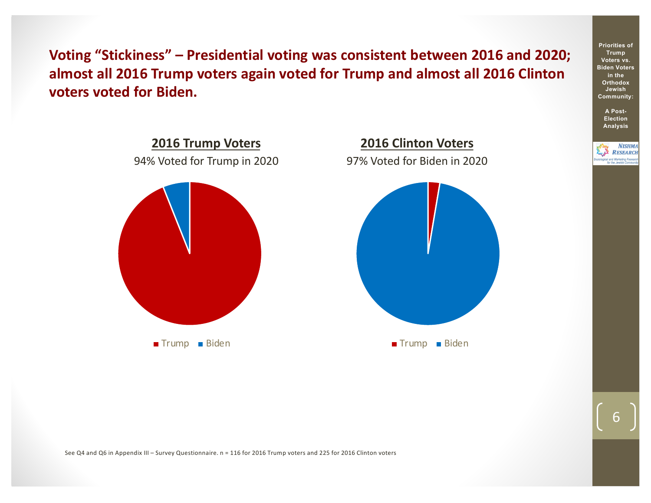**Voting "Stickiness" – Presidential voting was consistent between 2016 and 2020; almost all 2016 Trump voters again voted for Trump and almost all 2016 Clinton voters voted for Biden.**



See Q4 and Q6 in Appendix III – Survey Questionnaire. n = 116 for 2016 Trump voters and 225 for 2016 Clinton voters

6

**Priorities of Trump Voters vs. Biden Voters in the Orthodox Jewish Community: A Post-Election Analysis**

> **NISHMA RESEARCH**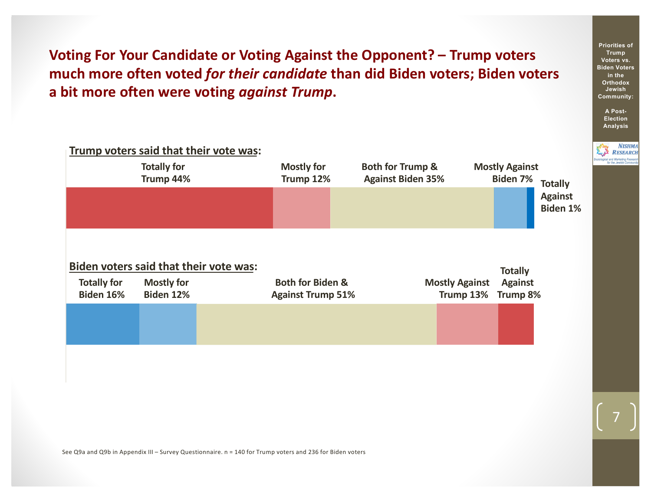**Voting For Your Candidate or Voting Against the Opponent? – Trump voters much more often voted** *for their candidate* **than did Biden voters; Biden voters a bit more often were voting** *against Trump***.**



See Q9a and Q9b in Appendix III – Survey Questionnaire. n = 140 for Trump voters and 236 for Biden voters

7

**Trump Voters vs. Biden Voters in the Orthodox Jewish Community:**

**Priorities of** 

**A Post-Election Analysis**

> **NISHMA RESEARCH**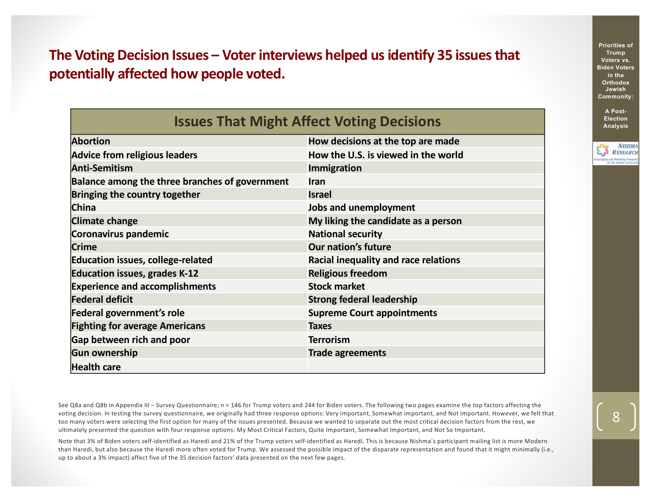**The Voting Decision Issues – Voter interviews helped us identify 35 issues that potentially affected how people voted.**

| <b>Issues That Might Affect Voting Decisions</b> |                                      |  |
|--------------------------------------------------|--------------------------------------|--|
| <b>Abortion</b>                                  | How decisions at the top are made    |  |
| <b>Advice from religious leaders</b>             | How the U.S. is viewed in the world  |  |
| <b>Anti-Semitism</b>                             | <b>Immigration</b>                   |  |
| Balance among the three branches of government   | <b>Iran</b>                          |  |
| Bringing the country together                    | <b>Israel</b>                        |  |
| China                                            | <b>Jobs and unemployment</b>         |  |
| <b>Climate change</b>                            | My liking the candidate as a person  |  |
| Coronavirus pandemic                             | <b>National security</b>             |  |
| <b>Crime</b>                                     | <b>Our nation's future</b>           |  |
| <b>Education issues, college-related</b>         | Racial inequality and race relations |  |
| <b>Education issues, grades K-12</b>             | <b>Religious freedom</b>             |  |
| <b>Experience and accomplishments</b>            | <b>Stock market</b>                  |  |
| <b>Federal deficit</b>                           | <b>Strong federal leadership</b>     |  |
| Federal government's role                        | <b>Supreme Court appointments</b>    |  |
| <b>Fighting for average Americans</b>            | <b>Taxes</b>                         |  |
| Gap between rich and poor                        | <b>Terrorism</b>                     |  |
| <b>Gun ownership</b>                             | <b>Trade agreements</b>              |  |
| <b>Health care</b>                               |                                      |  |

See Q8a and Q8b in Appendix III – Survey Questionnaire; n = 146 for Trump voters and 244 for Biden voters. The following two pages examine the top factors affecting the voting decision. In testing the survey questionnaire, we originally had three response options: Very important, Somewhat important, and Not important. However, we felt that too many voters were selecting the first option for many of the issues presented. Because we wanted to separate out the most critical decision factors from the rest, we ultimately presented the question with four response options: My Most Critical Factors, Quite Important, Somewhat Important, and Not So Important.

Note that 3% of Biden voters self-identified as Haredi and 21% of the Trump voters self-identified as Haredi. This is because Nishma's participant mailing list is more Modern than Haredi, but also because the Haredi more often voted for Trump. We assessed the possible impact of the disparate representation and found that it might minimally (i.e., up to about a 3% impact) affect five of the 35 decision factors' data presented on the next few pages.

**Priorities of Trump Voters vs. Biden Voters in the Orthodox Jewish Community:**

> **A Post-Election Analysis**

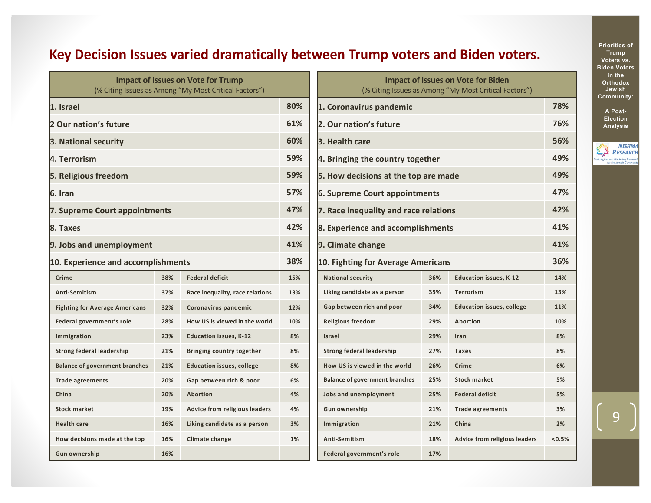# **Key Decision Issues varied dramatically between Trump voters and Biden voters.**

| <b>Impact of Issues on Vote for Trump</b><br>(% Citing Issues as Among "My Most Critical Factors") |     |                                      |     |
|----------------------------------------------------------------------------------------------------|-----|--------------------------------------|-----|
| 1. Israel                                                                                          |     |                                      | 80% |
| 2 Our nation's future                                                                              |     |                                      | 61% |
| 3. National security                                                                               |     |                                      | 60% |
| 4. Terrorism                                                                                       |     |                                      | 59% |
| 5. Religious freedom                                                                               |     |                                      | 59% |
| 6. Iran                                                                                            |     |                                      | 57% |
| 7. Supreme Court appointments                                                                      |     |                                      | 47% |
| 8. Taxes                                                                                           |     |                                      | 42% |
| 9. Jobs and unemployment                                                                           |     |                                      | 41% |
| 10. Experience and accomplishments                                                                 |     |                                      | 38% |
| Crime                                                                                              | 38% | <b>Federal deficit</b>               | 15% |
| Anti-Semitism                                                                                      | 37% | Race inequality, race relations      | 13% |
| <b>Fighting for Average Americans</b>                                                              | 32% | Coronavirus pandemic                 | 12% |
| Federal government's role                                                                          | 28% | How US is viewed in the world        | 10% |
| Immigration                                                                                        | 23% | <b>Education issues, K-12</b>        | 8%  |
| <b>Strong federal leadership</b>                                                                   | 21% | <b>Bringing country together</b>     | 8%  |
| <b>Balance of government branches</b>                                                              | 21% | <b>Education issues, college</b>     | 8%  |
| <b>Trade agreements</b>                                                                            | 20% | Gap between rich & poor              | 6%  |
| China                                                                                              | 20% | Abortion                             | 4%  |
| <b>Stock market</b>                                                                                | 19% | <b>Advice from religious leaders</b> | 4%  |
| <b>Health care</b>                                                                                 | 16% | Liking candidate as a person         | 3%  |
| How decisions made at the top                                                                      | 16% | Climate change                       | 1%  |
| <b>Gun ownership</b>                                                                               | 16% |                                      |     |

| <b>Impact of Issues on Vote for Biden</b><br>(% Citing Issues as Among "My Most Critical Factors") |     |                                      |        |
|----------------------------------------------------------------------------------------------------|-----|--------------------------------------|--------|
| 1. Coronavirus pandemic                                                                            |     |                                      | 78%    |
| 2. Our nation's future                                                                             |     |                                      | 76%    |
| 3. Health care                                                                                     |     |                                      | 56%    |
| 4. Bringing the country together                                                                   |     |                                      | 49%    |
| 5. How decisions at the top are made                                                               |     |                                      | 49%    |
| <b>6. Supreme Court appointments</b>                                                               |     |                                      | 47%    |
| 7. Race inequality and race relations                                                              |     |                                      | 42%    |
| 8. Experience and accomplishments                                                                  |     |                                      | 41%    |
| 9. Climate change                                                                                  |     |                                      | 41%    |
|                                                                                                    |     |                                      | 36%    |
| 10. Fighting for Average Americans                                                                 |     |                                      |        |
| <b>National security</b>                                                                           | 36% | <b>Education issues, K-12</b>        | 14%    |
| Liking candidate as a person                                                                       | 35% | <b>Terrorism</b>                     | 13%    |
| Gap between rich and poor                                                                          | 34% | <b>Education issues, college</b>     | 11%    |
| <b>Religious freedom</b>                                                                           | 29% | <b>Abortion</b>                      | 10%    |
| Israel                                                                                             | 29% | Iran                                 | 8%     |
| <b>Strong federal leadership</b>                                                                   | 27% | <b>Taxes</b>                         | 8%     |
| How US is viewed in the world                                                                      | 26% | Crime                                | 6%     |
| <b>Balance of government branches</b>                                                              | 25% | <b>Stock market</b>                  | 5%     |
| Jobs and unemployment                                                                              | 25% | <b>Federal deficit</b>               | 5%     |
| <b>Gun ownership</b>                                                                               | 21% | <b>Trade agreements</b>              | 3%     |
| Immigration                                                                                        | 21% | China                                | 2%     |
| Anti-Semitism                                                                                      | 18% | <b>Advice from religious leaders</b> | < 0.5% |
| Federal government's role                                                                          | 17% |                                      |        |

**Priorities of Trump Voters vs. Biden Voters in the Orthodox Jewish Community:**

> **A Post-Election Analysis**

**NISHMA**<br>RESEARCH Sociological and Marketing Resear<br>for the Jewish Commun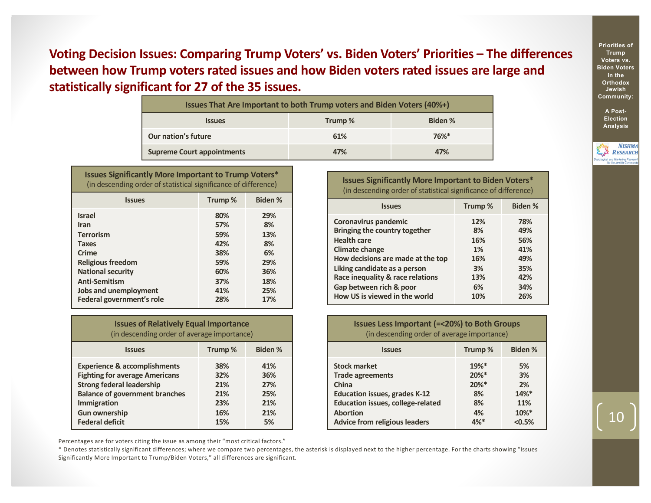**Voting Decision Issues: Comparing Trump Voters' vs. Biden Voters' Priorities – The differences between how Trump voters rated issues and how Biden voters rated issues are large and statistically significant for 27 of the 35 issues.**

| Issues That Are Important to both Trump voters and Biden Voters (40%+) |        |          |  |
|------------------------------------------------------------------------|--------|----------|--|
| <b>Issues</b>                                                          | Trump% | Biden %  |  |
| Our nation's future                                                    | 61%    | $76\%$ * |  |
| <b>Supreme Court appointments</b>                                      | 47%    | 47%      |  |

| <b>Issues Significantly More Important to Trump Voters*</b><br>(in descending order of statistical significance of difference)                                                                                  |                                                                    |                                                                 |
|-----------------------------------------------------------------------------------------------------------------------------------------------------------------------------------------------------------------|--------------------------------------------------------------------|-----------------------------------------------------------------|
| <b>Issues</b>                                                                                                                                                                                                   | Trump%                                                             | <b>Biden %</b>                                                  |
| <b>Israel</b><br><b>Iran</b><br><b>Terrorism</b><br><b>Taxes</b><br>Crime<br><b>Religious freedom</b><br><b>National security</b><br><b>Anti-Semitism</b><br>Jobs and unemployment<br>Federal government's role | 80%<br>57%<br>59%<br>42%<br>38%<br>59%<br>60%<br>37%<br>41%<br>28% | 29%<br>8%<br>13%<br>8%<br>6%<br>29%<br>36%<br>18%<br>25%<br>17% |

| <b>Issues of Relatively Equal Importance</b> |  |
|----------------------------------------------|--|
| (in descending order of average importance)  |  |

| <b>Issues</b>                           | Trump% | <b>Biden %</b> |
|-----------------------------------------|--------|----------------|
| <b>Experience &amp; accomplishments</b> | 38%    | 41%            |
| <b>Fighting for average Americans</b>   | 32%    | 36%            |
| <b>Strong federal leadership</b>        | 21%    | 27%            |
| <b>Balance of government branches</b>   | 21%    | 25%            |
| Immigration                             | 23%    | 21%            |
| <b>Gun ownership</b>                    | 16%    | 21%            |
| <b>Federal deficit</b>                  | 15%    | 5%             |

**Issues Significantly More Important to Biden Voters\*** (in descending order of statistical significance of difference)

| <b>Issues</b>                     | Trump% | <b>Biden %</b> |
|-----------------------------------|--------|----------------|
| Coronavirus pandemic              | 12%    | 78%            |
| Bringing the country together     | 8%     | 49%            |
| <b>Health care</b>                | 16%    | 56%            |
| <b>Climate change</b>             | 1%     | 41%            |
| How decisions are made at the top | 16%    | 49%            |
| Liking candidate as a person      | 3%     | 35%            |
| Race inequality & race relations  | 13%    | 42%            |
| Gap between rich & poor           | 6%     | 34%            |
| How US is viewed in the world     | 10%    | 26%            |

**Issues Less Important (=<20%) to Both Groups** (in descending order of average importance)

| <b>Issues</b>                            | Trump%   | <b>Biden %</b> |
|------------------------------------------|----------|----------------|
| <b>Stock market</b>                      | 19%*     | 5%             |
| <b>Trade agreements</b>                  | $20\%$ * | 3%             |
| China                                    | $20\%$ * | 2%             |
| <b>Education issues, grades K-12</b>     | 8%       | 14%*           |
| <b>Education issues, college-related</b> | 8%       | 11%            |
| <b>Abortion</b>                          | 4%       | 10%*           |
| <b>Advice from religious leaders</b>     | 4%*      | < 0.5%         |

Percentages are for voters citing the issue as among their "most critical factors."

\* Denotes statistically significant differences; where we compare two percentages, the asterisk is displayed next to the higher percentage. For the charts showing "Issues Significantly More Important to Trump/Biden Voters," all differences are significant.

**Priorities of Trump Voters vs. Biden Voters in the Orthodox Jewish Community:**

> **A Post-Election Analysis**

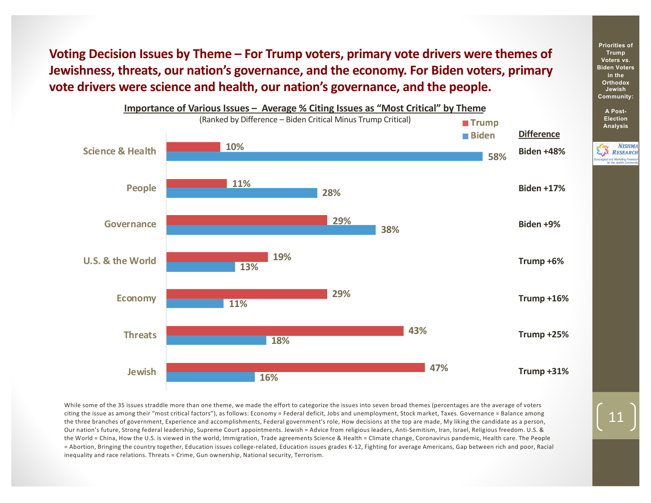**Voting Decision Issues by Theme – For Trump voters, primary vote drivers were themes of Jewishness, threats, our nation's governance, and the economy. For Biden voters, primary vote drivers were science and health, our nation's governance, and the people.**



While some of the 35 issues straddle more than one theme, we made the effort to categorize the issues into seven broad themes (percentages are the average of voters citing the issue as among their "most critical factors"), as follows: Economy = Federal deficit, Jobs and unemployment, Stock market, Taxes. Governance = Balance among the three branches of government, Experience and accomplishments, Federal government's role, How decisions at the top are made, My liking the candidate as a person, Our nation's future, Strong federal leadership, Supreme Court appointments. Jewish = Advice from religious leaders, Anti-Semitism, Iran, Israel, Religious freedom. U.S. & the World = China, How the U.S. is viewed in the world, Immigration, Trade agreements Science & Health = Climate change, Coronavirus pandemic, Health care. The People = Abortion, Bringing the country together, Education issues college-related, Education issues grades K-12, Fighting for average Americans, Gap between rich and poor, Racial inequality and race relations. Threats = Crime, Gun ownership, National security, Terrorism.

**Priorities of Trump Voters vs. Biden Voters in the Orthodox Jewish Community:**

> **A Post-Election Analysis**

**NISHMA RESEARCH**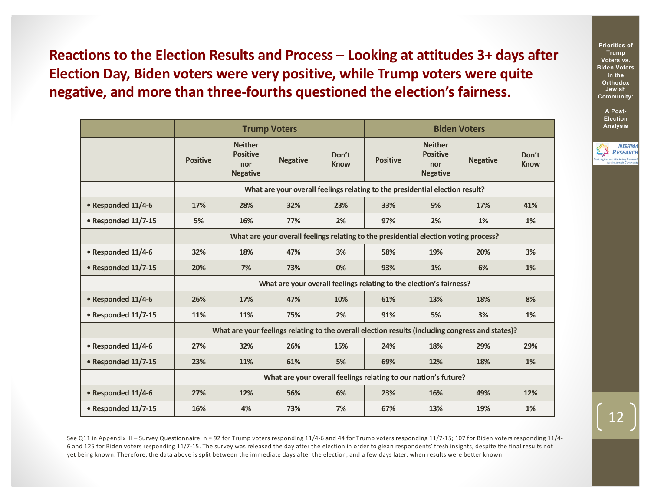**Reactions to the Election Results and Process – Looking at attitudes 3+ days after Election Day, Biden voters were very positive, while Trump voters were quite negative, and more than three-fourths questioned the election's fairness.**

|                     | <b>Trump Voters</b>                                                                              |                                                                              |                 |                      | <b>Biden Voters</b> |                                                             |                 |                      |
|---------------------|--------------------------------------------------------------------------------------------------|------------------------------------------------------------------------------|-----------------|----------------------|---------------------|-------------------------------------------------------------|-----------------|----------------------|
|                     | <b>Positive</b>                                                                                  | <b>Neither</b><br><b>Positive</b><br>nor<br><b>Negative</b>                  | <b>Negative</b> | Don't<br><b>Know</b> | <b>Positive</b>     | <b>Neither</b><br><b>Positive</b><br>nor<br><b>Negative</b> | <b>Negative</b> | Don't<br><b>Know</b> |
|                     |                                                                                                  | What are your overall feelings relating to the presidential election result? |                 |                      |                     |                                                             |                 |                      |
| • Responded 11/4-6  | 17%                                                                                              | 28%                                                                          | 32%             | 23%                  | 33%                 | 9%                                                          | 17%             | 41%                  |
| • Responded 11/7-15 | 5%                                                                                               | 16%                                                                          | 77%             | 2%                   | 97%                 | 2%                                                          | 1%              | 1%                   |
|                     | What are your overall feelings relating to the presidential election voting process?             |                                                                              |                 |                      |                     |                                                             |                 |                      |
| • Responded 11/4-6  | 32%                                                                                              | 18%                                                                          | 47%             | 3%                   | 58%                 | 19%                                                         | 20%             | 3%                   |
| • Responded 11/7-15 | 20%                                                                                              | 7%                                                                           | 73%             | 0%                   | 93%                 | 1%                                                          | 6%              | 1%                   |
|                     | What are your overall feelings relating to the election's fairness?                              |                                                                              |                 |                      |                     |                                                             |                 |                      |
| • Responded 11/4-6  | 26%                                                                                              | 17%                                                                          | 47%             | 10%                  | 61%                 | 13%                                                         | 18%             | 8%                   |
| • Responded 11/7-15 | 11%                                                                                              | 11%                                                                          | 75%             | 2%                   | 91%                 | 5%                                                          | 3%              | 1%                   |
|                     | What are your feelings relating to the overall election results (including congress and states)? |                                                                              |                 |                      |                     |                                                             |                 |                      |
| • Responded 11/4-6  | 27%                                                                                              | 32%                                                                          | 26%             | 15%                  | 24%                 | 18%                                                         | 29%             | 29%                  |
| • Responded 11/7-15 | 23%                                                                                              | 11%                                                                          | 61%             | 5%                   | 69%                 | 12%                                                         | 18%             | 1%                   |
|                     | What are your overall feelings relating to our nation's future?                                  |                                                                              |                 |                      |                     |                                                             |                 |                      |
| • Responded 11/4-6  | 27%                                                                                              | 12%                                                                          | 56%             | 6%                   | 23%                 | 16%                                                         | 49%             | 12%                  |
| • Responded 11/7-15 | 16%                                                                                              | 4%                                                                           | 73%             | 7%                   | 67%                 | 13%                                                         | 19%             | 1%                   |

See Q11 in Appendix III – Survey Questionnaire. n = 92 for Trump voters responding 11/4-6 and 44 for Trump voters responding 11/7-15; 107 for Biden voters responding 11/4- 6 and 125 for Biden voters responding 11/7-15. The survey was released the day after the election in order to glean respondents' fresh insights, despite the final results not yet being known. Therefore, the data above is split between the immediate days after the election, and a few days later, when results were better known.

**Priorities of Trump Voters vs. Biden Voters in the Orthodox Jewish Community:**

> **A Post-Election Analysis**

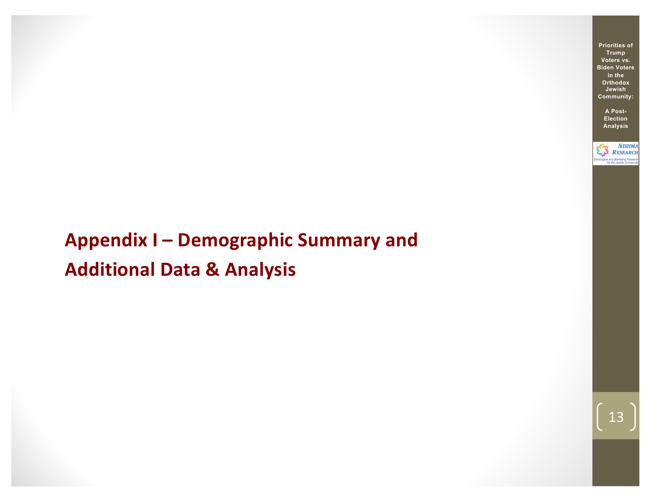# **Appendix I – Demographic Summary and Additional Data & Analysis**

**Priorities of Trump Voters vs. Biden Voters in the Orthodox Jewish Community:**

> **A Post-Election Analysis**

**NISHMA** RESEARCH logical and Marketing Rese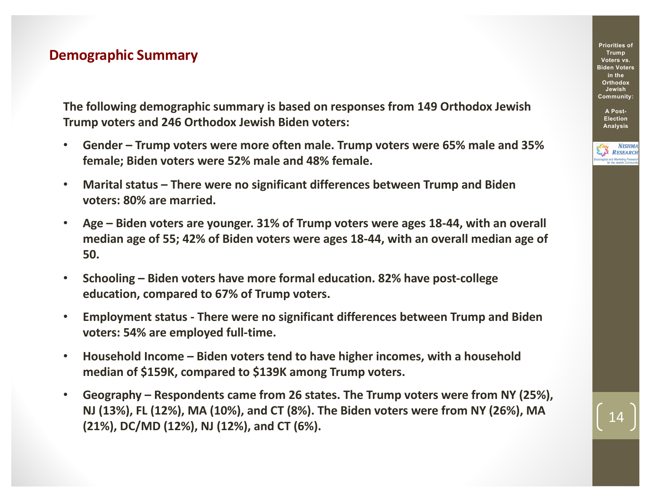### **Demographic Summary**

**The following demographic summary is based on responses from 149 Orthodox Jewish Trump voters and 246 Orthodox Jewish Biden voters:**

- **Gender – Trump voters were more often male. Trump voters were 65% male and 35% female; Biden voters were 52% male and 48% female.**
- **Marital status – There were no significant differences between Trump and Biden voters: 80% are married.**
- **Age – Biden voters are younger. 31% of Trump voters were ages 18-44, with an overall median age of 55; 42% of Biden voters were ages 18-44, with an overall median age of 50.**
- **Schooling – Biden voters have more formal education. 82% have post-college education, compared to 67% of Trump voters.**
- **Employment status - There were no significant differences between Trump and Biden voters: 54% are employed full-time.**
- **Household Income – Biden voters tend to have higher incomes, with a household median of \$159K, compared to \$139K among Trump voters.**
- **Geography – Respondents came from 26 states. The Trump voters were from NY (25%), NJ (13%), FL (12%), MA (10%), and CT (8%). The Biden voters were from NY (26%), MA (21%), DC/MD (12%), NJ (12%), and CT (6%).**

**Priorities of Trump Voters vs. Biden Voters in the Orthodox Jewish Community:**

> **A Post-Election Analysis**

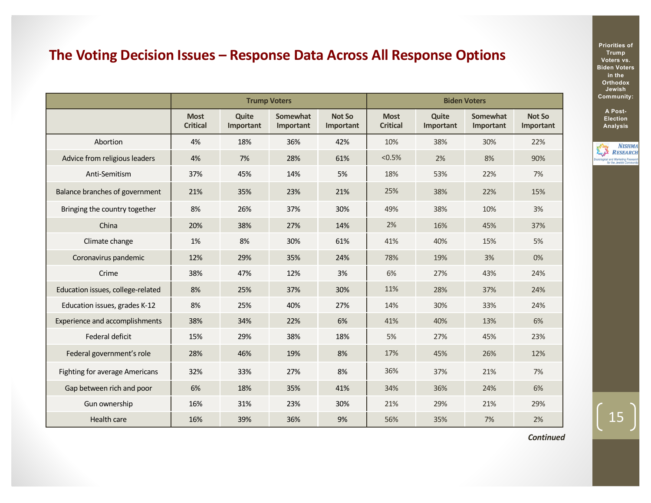# **The Voting Decision Issues – Response Data Across All Response Options**

|                                       | <b>Trump Voters</b>            |                    |                       | <b>Biden Voters</b>        |                                |                    |                       |                            |
|---------------------------------------|--------------------------------|--------------------|-----------------------|----------------------------|--------------------------------|--------------------|-----------------------|----------------------------|
|                                       | <b>Most</b><br><b>Critical</b> | Quite<br>Important | Somewhat<br>Important | <b>Not So</b><br>Important | <b>Most</b><br><b>Critical</b> | Quite<br>Important | Somewhat<br>Important | <b>Not So</b><br>Important |
| Abortion                              | 4%                             | 18%                | 36%                   | 42%                        | 10%                            | 38%                | 30%                   | 22%                        |
| Advice from religious leaders         | 4%                             | 7%                 | 28%                   | 61%                        | $< 0.5\%$                      | 2%                 | 8%                    | 90%                        |
| Anti-Semitism                         | 37%                            | 45%                | 14%                   | 5%                         | 18%                            | 53%                | 22%                   | 7%                         |
| Balance branches of government        | 21%                            | 35%                | 23%                   | 21%                        | 25%                            | 38%                | 22%                   | 15%                        |
| Bringing the country together         | 8%                             | 26%                | 37%                   | 30%                        | 49%                            | 38%                | 10%                   | 3%                         |
| China                                 | 20%                            | 38%                | 27%                   | 14%                        | 2%                             | 16%                | 45%                   | 37%                        |
| Climate change                        | 1%                             | 8%                 | 30%                   | 61%                        | 41%                            | 40%                | 15%                   | 5%                         |
| Coronavirus pandemic                  | 12%                            | 29%                | 35%                   | 24%                        | 78%                            | 19%                | 3%                    | 0%                         |
| Crime                                 | 38%                            | 47%                | 12%                   | 3%                         | 6%                             | 27%                | 43%                   | 24%                        |
| Education issues, college-related     | 8%                             | 25%                | 37%                   | 30%                        | 11%                            | 28%                | 37%                   | 24%                        |
| Education issues, grades K-12         | 8%                             | 25%                | 40%                   | 27%                        | 14%                            | 30%                | 33%                   | 24%                        |
| <b>Experience and accomplishments</b> | 38%                            | 34%                | 22%                   | 6%                         | 41%                            | 40%                | 13%                   | 6%                         |
| Federal deficit                       | 15%                            | 29%                | 38%                   | 18%                        | 5%                             | 27%                | 45%                   | 23%                        |
| Federal government's role             | 28%                            | 46%                | 19%                   | 8%                         | 17%                            | 45%                | 26%                   | 12%                        |
| Fighting for average Americans        | 32%                            | 33%                | 27%                   | 8%                         | 36%                            | 37%                | 21%                   | 7%                         |
| Gap between rich and poor             | 6%                             | 18%                | 35%                   | 41%                        | 34%                            | 36%                | 24%                   | 6%                         |
| Gun ownership                         | 16%                            | 31%                | 23%                   | 30%                        | 21%                            | 29%                | 21%                   | 29%                        |
| Health care                           | 16%                            | 39%                | 36%                   | 9%                         | 56%                            | 35%                | 7%                    | 2%                         |

**Priorities of Trump Voters vs. Biden Voters in the Orthodox Jewish Community:**

> **A Post-Election Analysis**



15

*Continued*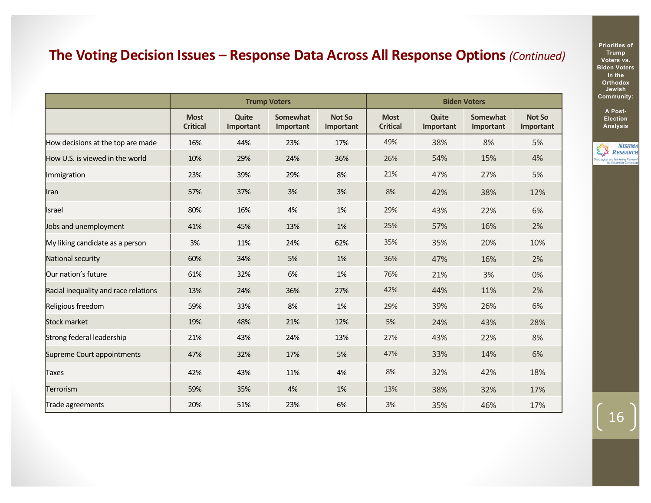# **The Voting Decision Issues – Response Data Across All Response Options** *(Continued)*

|                                      | <b>Trump Voters</b>            |                           |                       |                            | <b>Biden Voters</b>            |                    |                       |                            |
|--------------------------------------|--------------------------------|---------------------------|-----------------------|----------------------------|--------------------------------|--------------------|-----------------------|----------------------------|
|                                      | <b>Most</b><br><b>Critical</b> | <b>Quite</b><br>Important | Somewhat<br>Important | <b>Not So</b><br>Important | <b>Most</b><br><b>Critical</b> | Quite<br>Important | Somewhat<br>Important | <b>Not So</b><br>Important |
| How decisions at the top are made    | 16%                            | 44%                       | 23%                   | 17%                        | 49%                            | 38%                | 8%                    | 5%                         |
| How U.S. is viewed in the world      | 10%                            | 29%                       | 24%                   | 36%                        | 26%                            | 54%                | 15%                   | 4%                         |
| Immigration                          | 23%                            | 39%                       | 29%                   | 8%                         | 21%                            | 47%                | 27%                   | 5%                         |
| Iran                                 | 57%                            | 37%                       | 3%                    | 3%                         | 8%                             | 42%                | 38%                   | 12%                        |
| Israel                               | 80%                            | 16%                       | 4%                    | 1%                         | 29%                            | 43%                | 22%                   | 6%                         |
| Jobs and unemployment                | 41%                            | 45%                       | 13%                   | 1%                         | 25%                            | 57%                | 16%                   | 2%                         |
| My liking candidate as a person      | 3%                             | 11%                       | 24%                   | 62%                        | 35%                            | 35%                | 20%                   | 10%                        |
| National security                    | 60%                            | 34%                       | 5%                    | 1%                         | 36%                            | 47%                | 16%                   | 2%                         |
| Our nation's future                  | 61%                            | 32%                       | 6%                    | 1%                         | 76%                            | 21%                | 3%                    | 0%                         |
| Racial inequality and race relations | 13%                            | 24%                       | 36%                   | 27%                        | 42%                            | 44%                | 11%                   | 2%                         |
| Religious freedom                    | 59%                            | 33%                       | 8%                    | 1%                         | 29%                            | 39%                | 26%                   | 6%                         |
| Stock market                         | 19%                            | 48%                       | 21%                   | 12%                        | 5%                             | 24%                | 43%                   | 28%                        |
| Strong federal leadership            | 21%                            | 43%                       | 24%                   | 13%                        | 27%                            | 43%                | 22%                   | 8%                         |
| Supreme Court appointments           | 47%                            | 32%                       | 17%                   | 5%                         | 47%                            | 33%                | 14%                   | 6%                         |
| Taxes                                | 42%                            | 43%                       | 11%                   | 4%                         | 8%                             | 32%                | 42%                   | 18%                        |
| Terrorism                            | 59%                            | 35%                       | 4%                    | 1%                         | 13%                            | 38%                | 32%                   | 17%                        |
| Trade agreements                     | 20%                            | 51%                       | 23%                   | 6%                         | 3%                             | 35%                | 46%                   | 17%                        |

**Priorities of Trump Voters vs. Biden Voters in the Orthodox Jewish Community:**

> **A Post-Election Analysis**

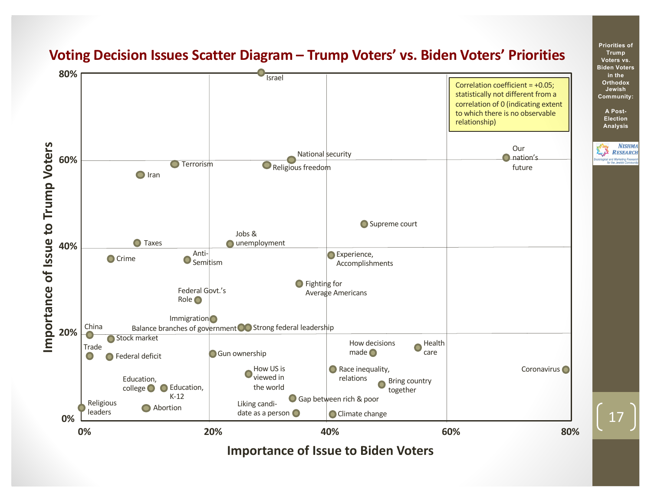

### **Voting Decision Issues Scatter Diagram – Trump Voters' vs. Biden Voters' Priorities**

17

**Priorities of Trump Voters vs. Biden Voters in the Orthodox Jewish Community:**

**A Post-Election Analysis**

**NISHMA** RESEARCH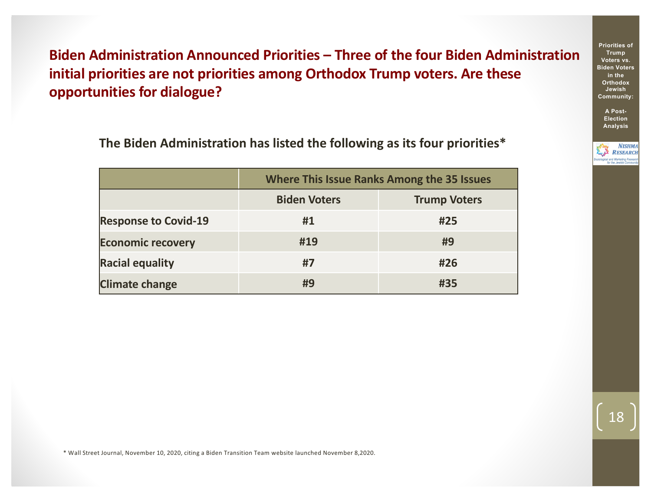**Biden Administration Announced Priorities – Three of the four Biden Administration initial priorities are not priorities among Orthodox Trump voters. Are these opportunities for dialogue?** 

**The Biden Administration has listed the following as its four priorities\***

|                             | <b>Where This Issue Ranks Among the 35 Issues</b> |                     |  |  |  |
|-----------------------------|---------------------------------------------------|---------------------|--|--|--|
|                             | <b>Biden Voters</b>                               | <b>Trump Voters</b> |  |  |  |
| <b>Response to Covid-19</b> | #1                                                | #25                 |  |  |  |
| <b>Economic recovery</b>    | #19                                               | #9                  |  |  |  |
| <b>Racial equality</b>      | #7                                                | #26                 |  |  |  |
| <b>Climate change</b>       | #9                                                | #35                 |  |  |  |

**Trump Voters vs. Biden Voters in the Orthodox Jewish Community:**

**Priorities of** 

**A Post-Election Analysis**



\* Wall Street Journal, November 10, 2020, citing a Biden Transition Team website launched November 8,2020.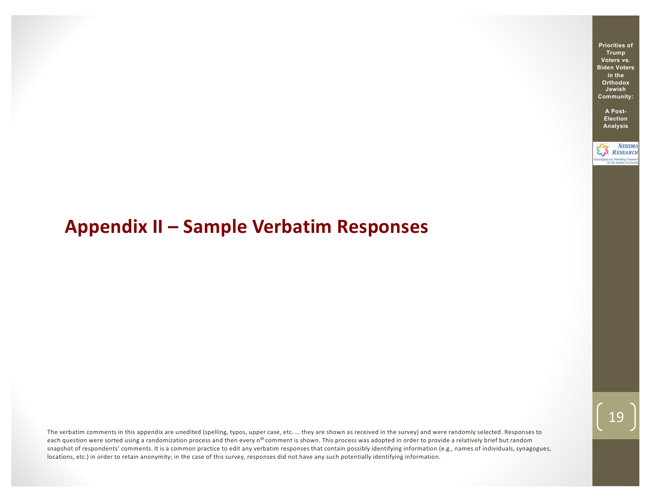# **Appendix II – Sample Verbatim Responses**

The verbatim comments in this appendix are unedited (spelling, typos, upper case, etc. … they are shown as received in the survey) and were randomly selected. Responses to each question were sorted using a randomization process and then every n<sup>th</sup> comment is shown. This process was adopted in order to provide a relatively brief but random snapshot of respondents' comments. It is a common practice to edit any verbatim responses that contain possibly identifying information (e.g., names of individuals, synagogues, locations, etc.) in order to retain anonymity; in the case of this survey, responses did not have any such potentially identifying information.

**Priorities of Trump Voters vs. Biden Voters in the Orthodox Jewish Community:**

> **A Post-Election Analysis**

**NISHMA RESEARCH** ogical and Marke<br>for the Jewi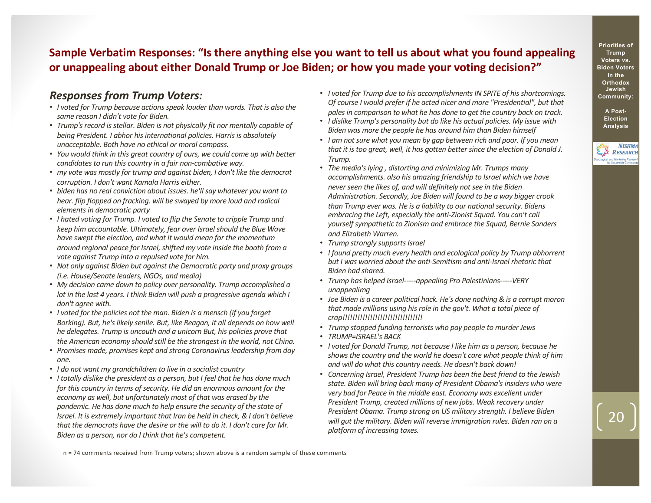### **Sample Verbatim Responses: "Is there anything else you want to tell us about what you found appealing or unappealing about either Donald Trump or Joe Biden; or how you made your voting decision?"**

### *Responses from Trump Voters:*

- *I voted for Trump because actions speak louder than words. That is also the same reason I didn't vote for Biden.*
- *Trump's record is stellar. Biden is not physically fit nor mentally capable of being President. I abhor his international policies. Harris is absolutely unacceptable. Both have no ethical or moral compass.*
- *You would think in this great country of ours, we could come up with better candidates to run this country in a fair non-combative way.*
- *my vote was mostly for trump and against biden, I don't like the democrat corruption. I don't want Kamala Harris either.*
- *biden has no real conviction about issues. he'll say whatever you want to hear. flip flopped on fracking. will be swayed by more loud and radical elements in democratic party*
- *I hated voting for Trump. I voted to flip the Senate to cripple Trump and keep him accountable. Ultimately, fear over Israel should the Blue Wave have swept the election, and what it would mean for the momentum around regional peace for Israel, shifted my vote inside the booth from a vote against Trump into a repulsed vote for him.*
- *Not only against Biden but against the Democratic party and proxy groups (i.e. House/Senate leaders, NGOs, and media)*
- *My decision came down to policy over personality. Trump accomplished a lot in the last 4 years. I think Biden will push a progressive agenda which I don't agree with.*
- *I voted for the policies not the man. Biden is a mensch (if you forget Borking). But, he's likely senile. But, like Reagan, it all depends on how well he delegates. Trump is uncouth and a unicorn But, his policies prove that the American economy should still be the strongest in the world, not China.*
- *Promises made, promises kept and strong Coronavirus leadership from day one.*
- *I do not want my grandchildren to live in a socialist country*
- *I totally dislike the president as a person, but I feel that he has done much for this country in terms of security. He did an enormous amount for the economy as well, but unfortunately most of that was erased by the pandemic. He has done much to help ensure the security of the state of Israel. It is extremely important that Iran be held in check, & I don't believe that the democrats have the desire or the will to do it. I don't care for Mr. Biden as a person, nor do I think that he's competent.*
- *I voted for Trump due to his accomplishments IN SPITE of his shortcomings. Of course I would prefer if he acted nicer and more "Presidential", but that pales in comparison to what he has done to get the country back on track.*
- *I dislike Trump's personality but do like his actual policies. My issue with Biden was more the people he has around him than Biden himself*
- *I am not sure what you mean by gap between rich and poor. If you mean that it is too great, well, it has gotten better since the election of Donald J. Trump.*
- *The media's lying , distorting and minimizing Mr. Trumps many accomplishments. also his amazing friendship to Israel which we have never seen the likes of, and will definitely not see in the Biden Administration. Secondly, Joe Biden will found to be a way bigger crook than Trump ever was. He is a liability to our national security. Bidens embracing the Left, especially the anti-Zionist Squad. You can't call yourself sympathetic to Zionism and embrace the Squad, Bernie Sanders and Elizabeth Warren.*
- *Trump strongly supports Israel*
- *I found pretty much every health and ecological policy by Trump abhorrent but I was worried about the anti-Semitism and anti-Israel rhetoric that Biden had shared.*
- *Trump has helped Israel-----appealing Pro Palestinians-----VERY unappealimg*
- *Joe Biden is a career political hack. He's done nothing & is a corrupt moron that made millions using his role in the gov't. What a total piece of crap!!!!!!!!!!!!!!!!!!!!!!!!!!!!!!!!*
- *Trump stopped funding terrorists who pay people to murder Jews*
- *TRUMP=ISRAEL's BACK*
- *I voted for Donald Trump, not because I like him as a person, because he shows the country and the world he doesn't care what people think of him and will do what this country needs. He doesn't back down!*
- *Concerning Israel, President Trump has been the best friend to the Jewish state. Biden will bring back many of President Obama's insiders who were very bad for Peace in the middle east. Economy was excellent under President Trump, created millions of new jobs. Weak recovery under President Obama. Trump strong on US military strength. I believe Biden will gut the military. Biden will reverse immigration rules. Biden ran on a platform of increasing taxes.*

n = 74 comments received from Trump voters; shown above is a random sample of these comments



**Election Analysis**

**NISHMA** RESEARCH ,<br>gical and Marketing Rese<br>for the Jewish Comm

**Priorities of Trump**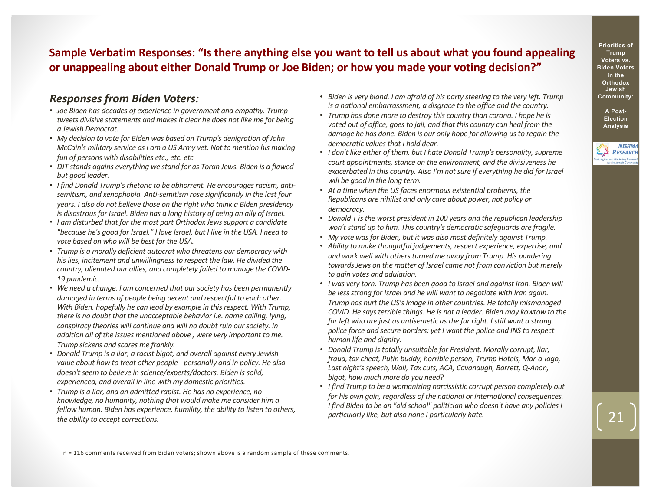### **Sample Verbatim Responses: "Is there anything else you want to tell us about what you found appealing or unappealing about either Donald Trump or Joe Biden; or how you made your voting decision?"**

### *Responses from Biden Voters:*

- *Joe Biden has decades of experience in government and empathy. Trump tweets divisive statements and makes it clear he does not like me for being a Jewish Democrat.*
- *My decision to vote for Biden was based on Trump's denigration of John McCain's military service as I am a US Army vet. Not to mention his making fun of persons with disabilities etc., etc. etc.*
- *DJT stands agains everything we stand for as Torah Jews. Biden is a flawed but good leader.*
- *I find Donald Trump's rhetoric to be abhorrent. He encourages racism, antisemitism, and xenophobia. Anti-semitism rose significantly in the last four years. I also do not believe those on the right who think a Biden presidency is disastrous for Israel. Biden has a long history of being an ally of Israel.*
- *I am disturbed that for the most part Orthodox Jews support a candidate "because he's good for Israel." I love Israel, but I live in the USA. I need to vote based on who will be best for the USA.*
- *Trump is a morally deficient autocrat who threatens our democracy with his lies, incitement and unwillingness to respect the law. He divided the country, alienated our allies, and completely failed to manage the COVID-19 pandemic.*
- *We need a change. I am concerned that our society has been permanently damaged in terms of people being decent and respectful to each other. With Biden, hopefully he can lead by example in this respect. With Trump, there is no doubt that the unacceptable behavior i.e. name calling, lying, conspiracy theories will continue and will no doubt ruin our society. In addition all of the issues mentioned above , were very important to me. Trump sickens and scares me frankly.*
- *Donald Trump is a liar, a racist bigot, and overall against every Jewish value about how to treat other people - personally and in policy. He also doesn't seem to believe in science/experts/doctors. Biden is solid, experienced, and overall in line with my domestic priorities.*
- *Trump is a liar, and an admitted rapist. He has no experience, no knowledge, no humanity, nothing that would make me consider him a fellow human. Biden has experience, humility, the ability to listen to others, the ability to accept corrections.*
- *Biden is very bland. I am afraid of his party steering to the very left. Trump is a national embarrassment, a disgrace to the office and the country.*
- *Trump has done more to destroy this country than corona. I hope he is voted out of office, goes to jail, and that this country can heal from the damage he has done. Biden is our only hope for allowing us to regain the democratic values that I hold dear.*
- *I don't like either of them, but I hate Donald Trump's personality, supreme court appointments, stance on the environment, and the divisiveness he exacerbated in this country. Also I'm not sure if everything he did for Israel will be good in the long term.*
- *At a time when the US faces enormous existential problems, the Republicans are nihilist and only care about power, not policy or democracy.*
- *Donald T is the worst president in 100 years and the republican leadership won't stand up to him. This country's democratic safeguards are fragile.*
- *My vote was for Biden, but it was also most definitely against Trump.*
- *Ability to make thoughtful judgements, respect experience, expertise, and and work well with others turned me away from Trump. His pandering towards Jews on the matter of Israel came not from conviction but merely to gain votes and adulation.*
- *I was very torn. Trump has been good to Israel and against Iran. Biden will be less strong for Israel and he will want to negotiate with Iran again. Trump has hurt the US's image in other countries. He totally mismanaged COVID. He says terrible things. He is not a leader. Biden may kowtow to the far left who are just as antisemetic as the far right. I still want a strong police force and secure borders; yet I want the police and INS to respect human life and dignity.*
- *Donald Trump is totally unsuitable for President. Morally corrupt, liar, fraud, tax cheat, Putin buddy, horrible person, Trump Hotels, Mar-a-lago, Last night's speech, Wall, Tax cuts, ACA, Cavanaugh, Barrett, Q-Anon, bigot, how much more do you need?*
- *I find Trump to be a womanizing narcissistic corrupt person completely out for his own gain, regardless of the national or international consequences. I find Biden to be an "old school" politician who doesn't have any policies I particularly like, but also none I particularly hate.*

n = 116 comments received from Biden voters; shown above is a random sample of these comments.

**Priorities of Trump Voters vs. Biden Voters in the Orthodox Jewish Community:**

> **A Post-Election Analysis**

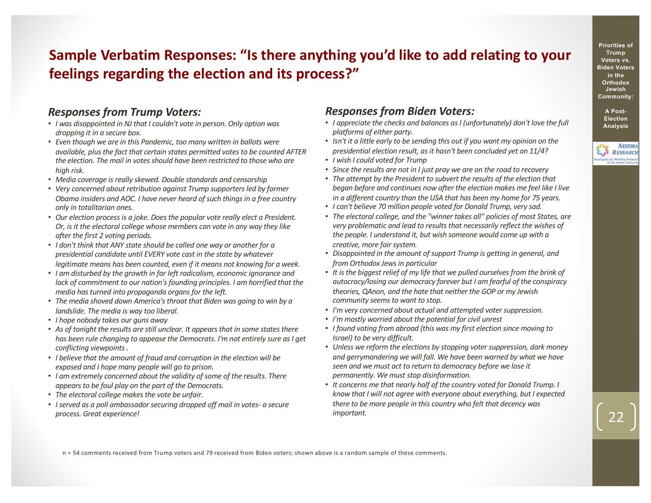# **Sample Verbatim Responses: "Is there anything you'd like to add relating to your feelings regarding the election and its process?"**

### *Responses from Trump Voters:*

- *I was disappointed in NJ that I couldn't vote in person. Only option was dropping it in a secure box.*
- *Even though we are in this Pandemic, too many written in ballots were available, plus the fact that certain states permitted votes to be counted AFTER the election. The mail in votes should have been restricted to those who are high risk.*
- *Media coverage is really skewed. Double standards and censorship*
- *Very concerned about retribution against Trump supporters led by former Obama insiders and AOC. I have never heard of such things in a free country only in totalitarian ones.*
- *Our election process is a joke. Does the popular vote really elect a President. Or, is it the electoral college whose members can vote in any way they like after the first 2 voting periods.*
- *I don't think that ANY state should be called one way or another for a presidential candidate until EVERY vote cast in the state by whatever legitimate means has been counted, even if it means not knowing for a week.*
- *I am disturbed by the growth in far left radicalism, economic ignorance and lack of commitment to our nation's founding principles. I am horrified that the media has turned into propaganda organs for the left.*
- *The media shoved down America's throat that Biden was going to win by a landslide. The media is way too liberal.*
- *I hope nobody takes our guns away*
- *As of tonight the results are still unclear. It appears that in some states there has been rule changing to appease the Democrats. I'm not entirely sure as I get conflicting viewpoints .*
- *I believe that the amount of fraud and corruption in the election will be exposed and I hope many people will go to prison.*
- *I am extremely concerned about the validity of some of the results. There appears to be foul play on the part of the Democrats.*
- *The electoral college makes the vote be unfair.*
- *I served as a poll ambassador securing dropped off mail in votes- a secure process. Great experience!*

### *Responses from Biden Voters:*

- *I appreciate the checks and balances as I (unfortunately) don't love the full platforms of either party.*
- *Isn't it a little early to be sending this out if you want my opinion on the presidential election result, as it hasn't been concluded yet on 11/4?*
- *I wish I could voted for Trump*
- *Since the results are not in I just pray we are on the road to recovery*
- *The attempt by the President to subvert the results of the election that began before and continues now after the election makes me feel like I live in a different country than the USA that has been my home for 75 years.*
- *I can't believe 70 million people voted for Donald Trump, very sad.*
- *The electoral college, and the "winner takes all" policies of most States, are very problematic and lead to results that necessarily reflect the wishes of the people. I understand it, but wish someone would come up with a creative, more fair system.*
- *Disappointed in the amount of support Trump is getting in general, and from Orthodox Jews in particular*
- *It is the biggest relief of my life that we pulled ourselves from the brink of autocracy/losing our democracy forever but I am fearful of the conspiracy theories, QAnon, and the hate that neither the GOP or my Jewish community seems to want to stop.*
- *I'm very concerned about actual and attempted voter suppression.*
- *I'm mostly worried about the potential for civil unrest*
- *I found voting from abroad (this was my first election since moving to Israel) to be very difficult.*
- *Unless we reform the elections by stopping voter suppression, dark money and gerrymandering we will fall. We have been warned by what we have seen and we must act to return to democracy before we lose it permanently. We must stop disinformation.*
- *It concerns me that nearly half of the country voted for Donald Trump. I know that I will not agree with everyone about everything, but I expected there to be more people in this country who felt that decency was important.*

**Priorities of Trump Voters vs. Biden Voters in the Orthodox Jewish Community:**

> **A Post-Election Analysis**



n = 54 comments received from Trump voters and 79 received from Biden voters; shown above is a random sample of these comments.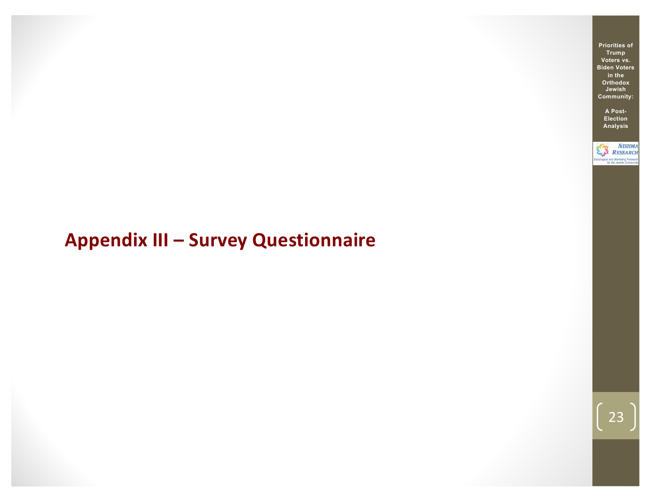# **Appendix III – Survey Questionnaire**

**Priorities of Trump Voters vs. Biden Voters in the Orthodox Jewish Community:**

> **A Post-Election Analysis**

NISHMA<br>RESEARCH ociological and Marketing Resea<br>for the Jewish Commun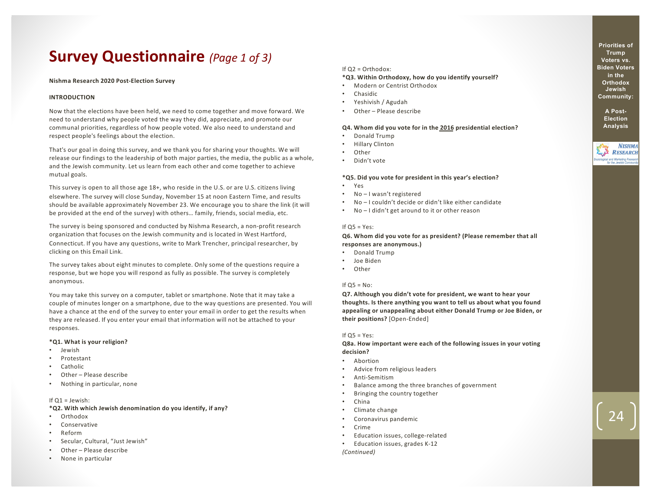# **Survey Questionnaire** *(Page 1 of 3)*

#### **Nishma Research 2020 Post-Election Survey**

#### **INTRODUCTION**

Now that the elections have been held, we need to come together and move forward. We need to understand why people voted the way they did, appreciate, and promote our communal priorities, regardless of how people voted. We also need to understand and respect people's feelings about the election.

That's our goal in doing this survey, and we thank you for sharing your thoughts. We will release our findings to the leadership of both major parties, the media, the public as a whole, and the Jewish community. Let us learn from each other and come together to achieve mutual goals.

This survey is open to all those age 18+, who reside in the U.S. or are U.S. citizens living elsewhere. The survey will close Sunday, November 15 at noon Eastern Time, and results should be available approximately November 23. We encourage you to share the link (it will be provided at the end of the survey) with others… family, friends, social media, etc.

The survey is being sponsored and conducted by Nishma Research, a non-profit research organization that focuses on the Jewish community and is located in West Hartford, Connecticut. If you have any questions, write to Mark Trencher, principal researcher, by clicking on this Email Link.

The survey takes about eight minutes to complete. Only some of the questions require a response, but we hope you will respond as fully as possible. The survey is completely anonymous.

You may take this survey on a computer, tablet or smartphone. Note that it may take a couple of minutes longer on a smartphone, due to the way questions are presented. You will have a chance at the end of the survey to enter your email in order to get the results when they are released. If you enter your email that information will not be attached to your responses.

#### **\*Q1. What is your religion?**

- Jewish
- Protestant
- **Catholic**
- Other Please describe
- Nothing in particular, none

#### If  $Q1 =$  Jewish:

**\*Q2. With which Jewish denomination do you identify, if any?**

- Orthodox
- Conservative
- Reform
- Secular, Cultural, "Just Jewish"
- Other Please describe
- None in particular

#### If Q2 = Orthodox:

#### **\*Q3. Within Orthodoxy, how do you identify yourself?**

- Modern or Centrist Orthodox
- Chasidic
- Yeshivish / Agudah
- Other Please describe

#### **Q4. Whom did you vote for in the 2016 presidential election?**

- Donald Trump
- Hillary Clinton
- **Other**
- Didn't vote

#### **\*Q5. Did you vote for president in this year's election?**

- Yes
- No I wasn't registered
- No I couldn't decide or didn't like either candidate
- No I didn't get around to it or other reason

#### If  $Q5 = Yes$ :

#### **Q6. Whom did you vote for as president? (Please remember that all responses are anonymous.)**

- Donald Trump
- Joe Biden
- Other

#### If  $Q5 = No$ :

**Q7. Although you didn't vote for president, we want to hear your thoughts. Is there anything you want to tell us about what you found appealing or unappealing about either Donald Trump or Joe Biden, or their positions?** [Open-Ended]

#### If  $Q5 = Yes$ :

**Q8a. How important were each of the following issues in your voting decision?**

- Abortion
- Advice from religious leaders
- Anti-Semitism
- Balance among the three branches of government
- Bringing the country together
- China
- Climate change
- Coronavirus pandemic
- Crime
- Education issues, college-related
- Education issues, grades K-12

*(Continued)*

**Priorities of Trump Voters vs. Biden Voters in the Orthodox Jewish Community:**

> **A Post-Election Analysis**

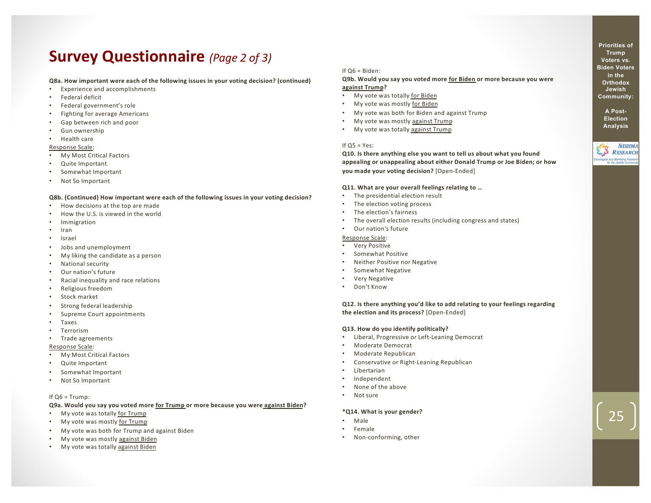# **Survey Questionnaire** *(Page 2 of 3)*

#### **Q8a. How important were each of the following issues in your voting decision? (continued)**

- Experience and accomplishments
- Federal deficit
- Federal government's role
- Fighting for average Americans
- Gap between rich and poor
- Gun ownership
- Health care

#### Response Scale:

- My Most Critical Factors
- Quite Important
- Somewhat Important
- Not So Important

#### **Q8b. (Continued) How important were each of the following issues in your voting decision?**

- How decisions at the top are made
- How the U.S. is viewed in the world
- Immigration
- Iran
- Israel
- Jobs and unemployment
- My liking the candidate as a person
- National security
- Our nation's future
- Racial inequality and race relations
- Religious freedom
- Stock market
- Strong federal leadership
- Supreme Court appointments
- Taxes
- **Terrorism**
- Trade agreements

#### Response Scale:

- My Most Critical Factors
- Quite Important
- Somewhat Important
- Not So Important

#### If  $Q6 = Trump$ :

#### **Q9a. Would you say you voted more for Trump or more because you were against Biden?**

- My vote was totally for Trump
- My vote was mostly for Trump
- My vote was both for Trump and against Biden
- My vote was mostly against Biden
- My vote was totally against Biden

#### If Q6 = Biden:

#### **Q9b. Would you say you voted more for Biden or more because you were against Trump?**

- My vote was totally for Biden
- My vote was mostly for Biden
- My vote was both for Biden and against Trump
- My vote was mostly against Trump
- My vote was totally against Trump

#### If  $Q5 = Yes$ :

**Q10. Is there anything else you want to tell us about what you found appealing or unappealing about either Donald Trump or Joe Biden; or how you made your voting decision?** [Open-Ended]

#### **Q11. What are your overall feelings relating to …**

- The presidential election result
- The election voting process
- The election's fairness
- The overall election results (including congress and states)

#### • Our nation's future

#### Response Scale:

- Very Positive
- Somewhat Positive
- Neither Positive nor Negative
- Somewhat Negative
- Very Negative
- Don't Know

**Q12. Is there anything you'd like to add relating to your feelings regarding the election and its process?** [Open-Ended]

#### **Q13. How do you identify politically?**

- Liberal, Progressive or Left-Leaning Democrat
- Moderate Democrat
- Moderate Republican
- Conservative or Right-Leaning Republican
- Libertarian
- Independent
- None of the above
- Not sure

#### **\*Q14. What is your gender?**

- Male
- Female
- Non-conforming, other

**Priorities of Trump Voters vs. Biden Voters in the Orthodox Jewish Community:**

**A Post-Election Analysis**

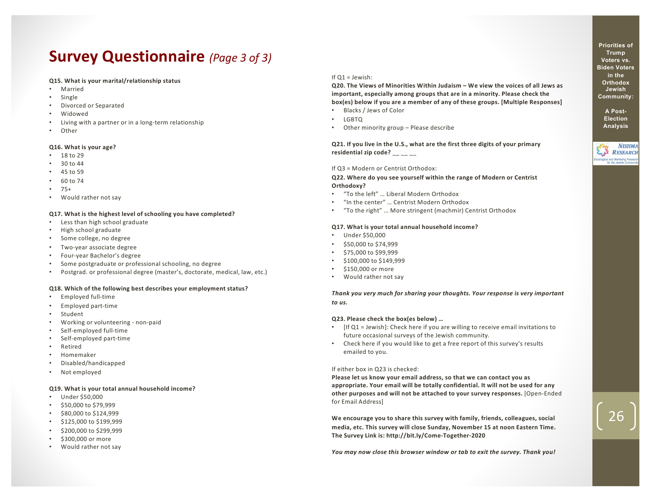# **Survey Questionnaire** *(Page 3 of 3)*

#### **Q15. What is your marital/relationship status**

- Married
- Single
- Divorced or Separated
- Widowed
- Living with a partner or in a long-term relationship
- Other

#### **Q16. What is your age?**

- 18 to 29
- 30 to 44
- 45 to 59
- 60 to 74
- 75+
- Would rather not say

#### **Q17. What is the highest level of schooling you have completed?**

- Less than high school graduate
- High school graduate
- Some college, no degree
- Two-year associate degree
- Four-year Bachelor's degree
- Some postgraduate or professional schooling, no degree
- Postgrad. or professional degree (master's, doctorate, medical, law, etc.)

#### **Q18. Which of the following best describes your employment status?**

- Employed full-time
- Employed part-time
- **Student**
- Working or volunteering non-paid
- Self-employed full-time
- Self-employed part-time
- **Retired**
- Homemaker
- Disabled/handicapped
- Not employed

#### **Q19. What is your total annual household income?**

- Under \$50,000
- \$50,000 to \$79,999
- \$80,000 to \$124,999
- \$125,000 to \$199,999
- \$200,000 to \$299,999
- \$300,000 or more
- Would rather not say

#### If  $O1 =$  Jewish:

**Q20. The Views of Minorities Within Judaism – We view the voices of all Jews as important, especially among groups that are in a minority. Please check the box(es) below if you are a member of any of these groups. [Multiple Responses]**

- Blacks / Jews of Color
- LGBTQ
- Other minority group Please describe

**Q21. If you live in the U.S., what are the first three digits of your primary**  residential zip code? \_\_ \_\_ \_\_

#### If Q3 = Modern or Centrist Orthodox:

**Q22. Where do you see yourself within the range of Modern or Centrist Orthodoxy?**

- "To the left" … Liberal Modern Orthodox
- "In the center" … Centrist Modern Orthodox
- "To the right" … More stringent (machmir) Centrist Orthodox

#### **Q17. What is your total annual household income?**

- Under \$50,000
- \$50,000 to \$74,999
- \$75,000 to \$99,999
- \$100,000 to \$149,999
- \$150,000 or more
- Would rather not say

*Thank you very much for sharing your thoughts. Your response is very important to us.*

#### **Q23. Please check the box(es below) …**

- [If Q1 = Jewish]: Check here if you are willing to receive email invitations to future occasional surveys of the Jewish community.
- Check here if you would like to get a free report of this survey's results emailed to you.

#### If either box in Q23 is checked:

**Please let us know your email address, so that we can contact you as appropriate. Your email will be totally confidential. It will not be used for any other purposes and will not be attached to your survey responses.** [Open-Ended for Email Address]

**We encourage you to share this survey with family, friends, colleagues, social media, etc. This survey will close Sunday, November 15 at noon Eastern Time. The Survey Link is: http://bit.ly/Come-Together-2020**

*You may now close this browser window or tab to exit the survey. Thank you!*

**Priorities of Trump Voters vs. Biden Voters in the Orthodox Jewish Community:**

> **A Post-Election Analysis**